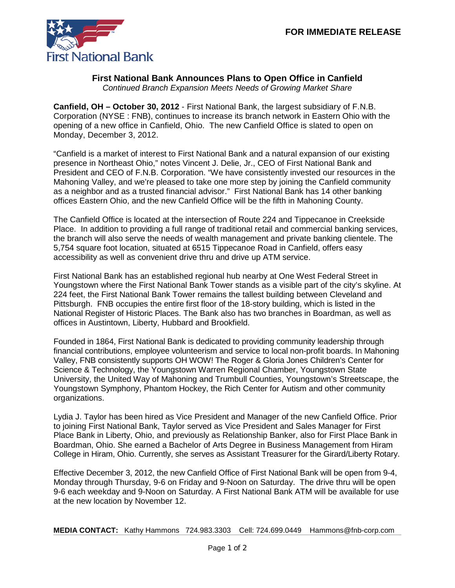

## **First National Bank Announces Plans to Open Office in Canfield**

*Continued Branch Expansion Meets Needs of Growing Market Share*

**Canfield, OH – October 30, 2012** - First National Bank, the largest subsidiary of F.N.B. Corporation (NYSE : FNB), continues to increase its branch network in Eastern Ohio with the opening of a new office in Canfield, Ohio. The new Canfield Office is slated to open on Monday, December 3, 2012.

"Canfield is a market of interest to First National Bank and a natural expansion of our existing presence in Northeast Ohio," notes Vincent J. Delie, Jr., CEO of First National Bank and President and CEO of F.N.B. Corporation. "We have consistently invested our resources in the Mahoning Valley, and we're pleased to take one more step by joining the Canfield community as a neighbor and as a trusted financial advisor." First National Bank has 14 other banking offices Eastern Ohio, and the new Canfield Office will be the fifth in Mahoning County.

The Canfield Office is located at the intersection of Route 224 and Tippecanoe in Creekside Place. In addition to providing a full range of traditional retail and commercial banking services, the branch will also serve the needs of wealth management and private banking clientele. The 5,754 square foot location, situated at 6515 Tippecanoe Road in Canfield, offers easy accessibility as well as convenient drive thru and drive up ATM service.

First National Bank has an established regional hub nearby at One West Federal Street in Youngstown where the First National Bank Tower stands as a visible part of the city's skyline. At 224 feet, the First National Bank Tower remains the tallest building between Cleveland and Pittsburgh. FNB occupies the entire first floor of the 18-story building, which is listed in the National Register of Historic Places. The Bank also has two branches in Boardman, as well as offices in Austintown, Liberty, Hubbard and Brookfield.

Founded in 1864, First National Bank is dedicated to providing community leadership through financial contributions, employee volunteerism and service to local non-profit boards. In Mahoning Valley, FNB consistently supports OH WOW! The Roger & Gloria Jones Children's Center for Science & Technology, the Youngstown Warren Regional Chamber, Youngstown State University, the United Way of Mahoning and Trumbull Counties, Youngstown's Streetscape, the Youngstown Symphony, Phantom Hockey, the Rich Center for Autism and other community organizations.

Lydia J. Taylor has been hired as Vice President and Manager of the new Canfield Office. Prior to joining First National Bank, Taylor served as Vice President and Sales Manager for First Place Bank in Liberty, Ohio, and previously as Relationship Banker, also for First Place Bank in Boardman, Ohio. She earned a Bachelor of Arts Degree in Business Management from Hiram College in Hiram, Ohio. Currently, she serves as Assistant Treasurer for the Girard/Liberty Rotary.

Effective December 3, 2012, the new Canfield Office of First National Bank will be open from 9-4, Monday through Thursday, 9-6 on Friday and 9-Noon on Saturday. The drive thru will be open 9-6 each weekday and 9-Noon on Saturday. A First National Bank ATM will be available for use at the new location by November 12.

**MEDIA CONTACT:** Kathy Hammons 724.983.3303 Cell: 724.699.0449 Hammons@fnb-corp.com